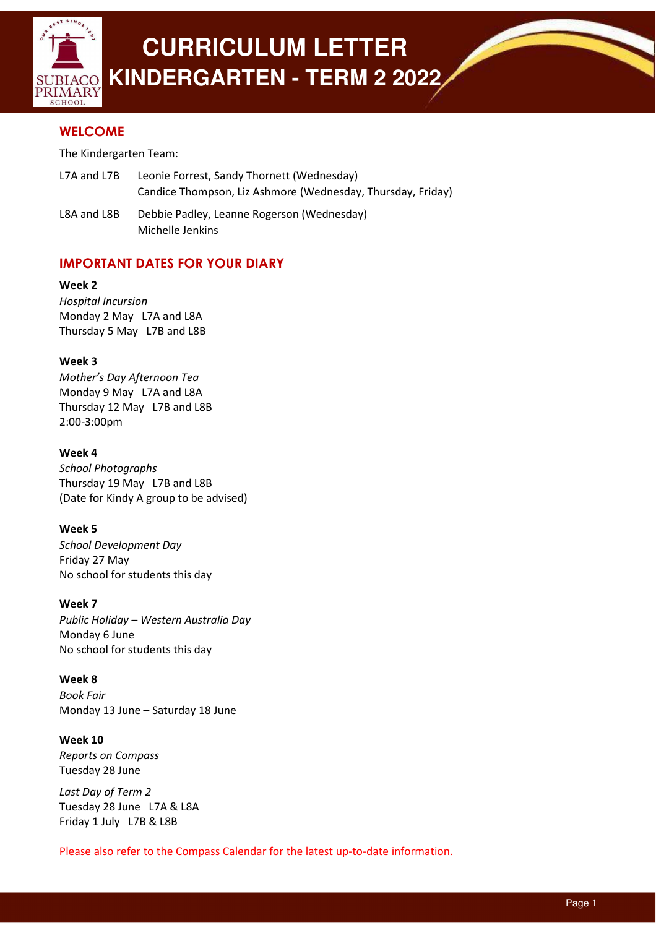

# **CURRICULUM LETTER KINDERGARTEN - TERM 2 2022**

# **WELCOME**

The Kindergarten Team:

- L7A and L7B Leonie Forrest, Sandy Thornett (Wednesday) Candice Thompson, Liz Ashmore (Wednesday, Thursday, Friday)
- L8A and L8B Debbie Padley, Leanne Rogerson (Wednesday) Michelle Jenkins

# IMPORTANT DATES FOR YOUR DIARY

Week 2 Hospital Incursion

Monday 2 May L7A and L8A Thursday 5 May L7B and L8B

## Week 3

Mother's Day Afternoon Tea Monday 9 May L7A and L8A Thursday 12 May L7B and L8B 2:00-3:00pm

## Week 4

School Photographs Thursday 19 May L7B and L8B (Date for Kindy A group to be advised)

## Week 5

School Development Day Friday 27 May No school for students this day

## Week 7

Public Holiday – Western Australia Day Monday 6 June No school for students this day

### Week 8

Book Fair Monday 13 June – Saturday 18 June

## Week 10

Reports on Compass Tuesday 28 June

Last Day of Term 2 Tuesday 28 June L7A & L8A Friday 1 July L7B & L8B

Please also refer to the Compass Calendar for the latest up-to-date information.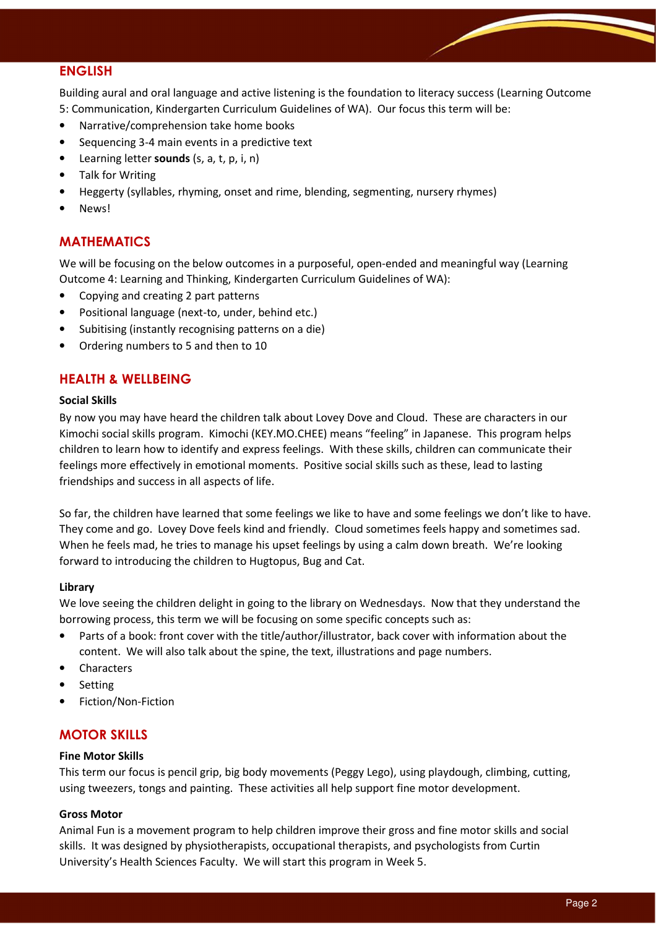## ENGLISH

Building aural and oral language and active listening is the foundation to literacy success (Learning Outcome 5: Communication, Kindergarten Curriculum Guidelines of WA). Our focus this term will be:

- Narrative/comprehension take home books
- Sequencing 3-4 main events in a predictive text
- Learning letter **sounds** (s, a, t, p, i, n)
- Talk for Writing
- Heggerty (syllables, rhyming, onset and rime, blending, segmenting, nursery rhymes)
- News!

# MATHEMATICS

We will be focusing on the below outcomes in a purposeful, open-ended and meaningful way (Learning Outcome 4: Learning and Thinking, Kindergarten Curriculum Guidelines of WA):

- Copying and creating 2 part patterns
- Positional language (next-to, under, behind etc.)
- Subitising (instantly recognising patterns on a die)
- Ordering numbers to 5 and then to 10

## HEALTH & WELLBEING

#### Social Skills

By now you may have heard the children talk about Lovey Dove and Cloud. These are characters in our Kimochi social skills program. Kimochi (KEY.MO.CHEE) means "feeling" in Japanese. This program helps children to learn how to identify and express feelings. With these skills, children can communicate their feelings more effectively in emotional moments. Positive social skills such as these, lead to lasting friendships and success in all aspects of life.

So far, the children have learned that some feelings we like to have and some feelings we don't like to have. They come and go. Lovey Dove feels kind and friendly. Cloud sometimes feels happy and sometimes sad. When he feels mad, he tries to manage his upset feelings by using a calm down breath. We're looking forward to introducing the children to Hugtopus, Bug and Cat.

### Library

We love seeing the children delight in going to the library on Wednesdays. Now that they understand the borrowing process, this term we will be focusing on some specific concepts such as:

- Parts of a book: front cover with the title/author/illustrator, back cover with information about the content. We will also talk about the spine, the text, illustrations and page numbers.
- **Characters**
- **Setting**
- Fiction/Non-Fiction

## MOTOR SKILLS

### Fine Motor Skills

This term our focus is pencil grip, big body movements (Peggy Lego), using playdough, climbing, cutting, using tweezers, tongs and painting. These activities all help support fine motor development.

### Gross Motor

Animal Fun is a movement program to help children improve their gross and fine motor skills and social skills. It was designed by physiotherapists, occupational therapists, and psychologists from Curtin University's Health Sciences Faculty. We will start this program in Week 5.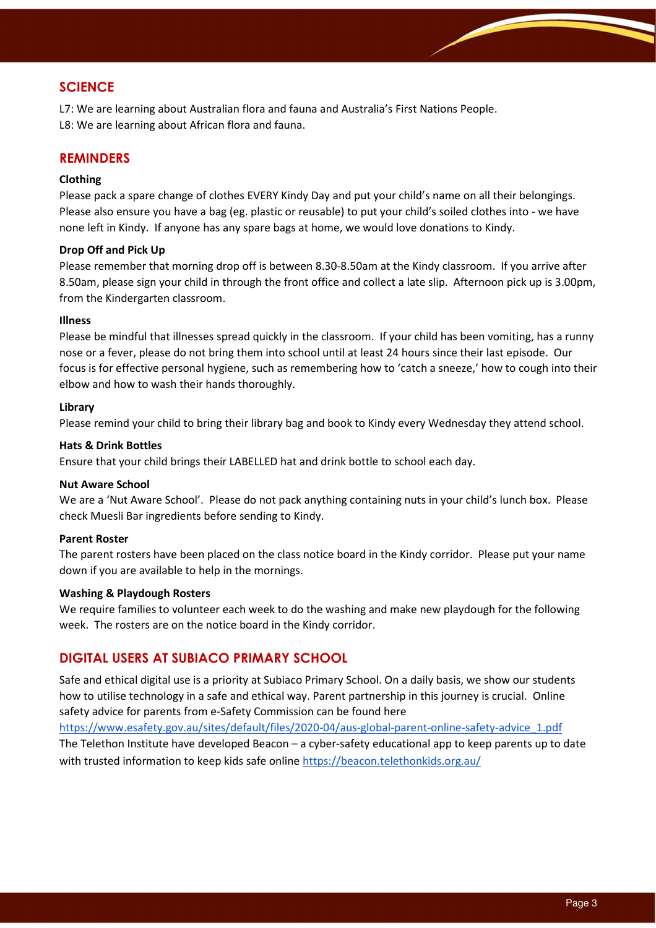# **SCIENCE**

L7: We are learning about Australian flora and fauna and Australia's First Nations People. L8: We are learning about African flora and fauna.

## REMINDERS

#### Clothing

Please pack a spare change of clothes EVERY Kindy Day and put your child's name on all their belongings. Please also ensure you have a bag (eg. plastic or reusable) to put your child's soiled clothes into - we have none left in Kindy. If anyone has any spare bags at home, we would love donations to Kindy.

#### Drop Off and Pick Up

Please remember that morning drop off is between 8.30-8.50am at the Kindy classroom. If you arrive after 8.50am, please sign your child in through the front office and collect a late slip. Afternoon pick up is 3.00pm, from the Kindergarten classroom.

#### Illness

Please be mindful that illnesses spread quickly in the classroom. If your child has been vomiting, has a runny nose or a fever, please do not bring them into school until at least 24 hours since their last episode. Our focus is for effective personal hygiene, such as remembering how to 'catch a sneeze,' how to cough into their elbow and how to wash their hands thoroughly.

#### Library

Please remind your child to bring their library bag and book to Kindy every Wednesday they attend school.

#### Hats & Drink Bottles

Ensure that your child brings their LABELLED hat and drink bottle to school each day.

#### Nut Aware School

We are a 'Nut Aware School'. Please do not pack anything containing nuts in your child's lunch box. Please check Muesli Bar ingredients before sending to Kindy.

### Parent Roster

The parent rosters have been placed on the class notice board in the Kindy corridor. Please put your name down if you are available to help in the mornings.

#### Washing & Playdough Rosters

We require families to volunteer each week to do the washing and make new playdough for the following week. The rosters are on the notice board in the Kindy corridor.

## DIGITAL USERS AT SUBIACO PRIMARY SCHOOL

Safe and ethical digital use is a priority at Subiaco Primary School. On a daily basis, we show our students how to utilise technology in a safe and ethical way. Parent partnership in this journey is crucial. Online safety advice for parents from e-Safety Commission can be found here

https://www.esafety.gov.au/sites/default/files/2020-04/aus-global-parent-online-safety-advice\_1.pdf The Telethon Institute have developed Beacon – a cyber-safety educational app to keep parents up to date with trusted information to keep kids safe online https://beacon.telethonkids.org.au/